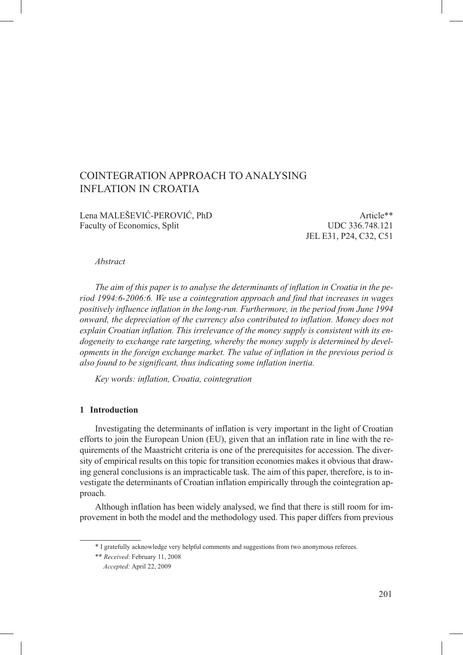# COINTEGRATION APPROACH to ANALYSING INFLATION IN CROATIA

Lena MALEŠEVIĆ-PEROVIĆ, PhD Article<sup>\*\*</sup> Faculty of Economics, Split UDC 336.748.121

JEL E31, P24, C32, C51

#### *Abstract*

*The aim of this paper is to analyse the determinants of inflation in Croatia in the period 1994:6-2006:6. We use a cointegration approach and find that increases in wages positively influence inflation in the long-run. Furthermore, in the period from June 1994 onward, the depreciation of the currency also contributed to inflation. Money does not explain Croatian inflation. This irrelevance of the money supply is consistent with its endogeneity to exchange rate targeting, whereby the money supply is determined by developments in the foreign exchange market. The value of inflation in the previous period is also found to be significant, thus indicating some inflation inertia.*

*Key words: inflation, Croatia, cointegration*

# **1 Introduction**

Investigating the determinants of inflation is very important in the light of Croatian efforts to join the European Union (EU), given that an inflation rate in line with the requirements of the Maastricht criteria is one of the prerequisites for accession. The diversity of empirical results on this topic for transition economies makes it obvious that drawing general conclusions is an impracticable task. The aim of this paper, therefore, is to investigate the determinants of Croatian inflation empirically through the cointegration approach.

Although inflation has been widely analysed, we find that there is still room for improvement in both the model and the methodology used. This paper differs from previous

<sup>\*</sup> I gratefully acknowledge very helpful comments and suggestions from two anonymous referees.

<sup>\*\*</sup> *Received*: February 11, 2008

<sup>\*\*</sup> *Accepted:* April 22, 2009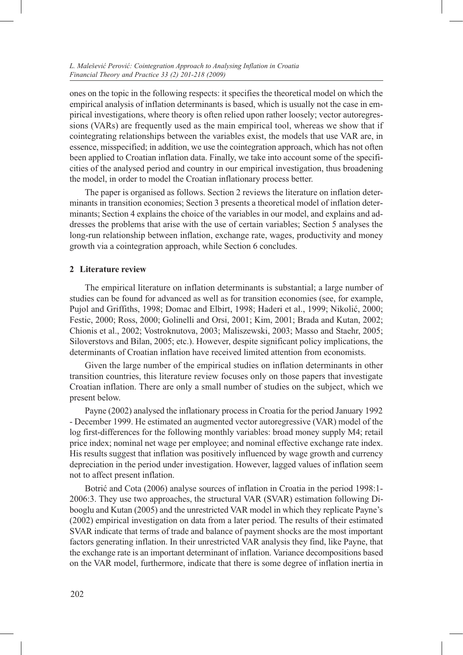ones on the topic in the following respects: it specifies the theoretical model on which the empirical analysis of inflation determinants is based, which is usually not the case in empirical investigations, where theory is often relied upon rather loosely; vector autoregressions (VARs) are frequently used as the main empirical tool, whereas we show that if cointegrating relationships between the variables exist, the models that use VAR are, in essence, misspecified; in addition, we use the cointegration approach, which has not often been applied to Croatian inflation data. Finally, we take into account some of the specificities of the analysed period and country in our empirical investigation, thus broadening the model, in order to model the Croatian inflationary process better.

The paper is organised as follows. Section 2 reviews the literature on inflation determinants in transition economies; Section 3 presents a theoretical model of inflation determinants; Section 4 explains the choice of the variables in our model, and explains and addresses the problems that arise with the use of certain variables; Section 5 analyses the long-run relationship between inflation, exchange rate, wages, productivity and money growth via a cointegration approach, while Section 6 concludes.

# **2 Literature review**

The empirical literature on inflation determinants is substantial; a large number of studies can be found for advanced as well as for transition economies (see, for example, Pujol and Griffiths, 1998; Domac and Elbirt, 1998; Haderi et al., 1999; Nikolić, 2000; Festic, 2000; Ross, 2000; Golinelli and Orsi, 2001; Kim, 2001; Brada and Kutan, 2002; Chionis et al., 2002; Vostroknutova, 2003; Maliszewski, 2003; Masso and Staehr, 2005; Siloverstovs and Bilan, 2005; etc.). However, despite significant policy implications, the determinants of Croatian inflation have received limited attention from economists.

Given the large number of the empirical studies on inflation determinants in other transition countries, this literature review focuses only on those papers that investigate Croatian inflation. There are only a small number of studies on the subject, which we present below.

Payne (2002) analysed the inflationary process in Croatia for the period January 1992 - December 1999. He estimated an augmented vector autoregressive (VAR) model of the log first-differences for the following monthly variables: broad money supply M4; retail price index; nominal net wage per employee; and nominal effective exchange rate index. His results suggest that inflation was positively influenced by wage growth and currency depreciation in the period under investigation. However, lagged values of inflation seem not to affect present inflation.

Botrić and Cota (2006) analyse sources of inflation in Croatia in the period 1998:1- 2006:3. They use two approaches, the structural VAR (SVAR) estimation following Dibooglu and Kutan (2005) and the unrestricted VAR model in which they replicate Payne's (2002) empirical investigation on data from a later period. The results of their estimated SVAR indicate that terms of trade and balance of payment shocks are the most important factors generating inflation. In their unrestricted VAR analysis they find, like Payne, that the exchange rate is an important determinant of inflation. Variance decompositions based on the VAR model, furthermore, indicate that there is some degree of inflation inertia in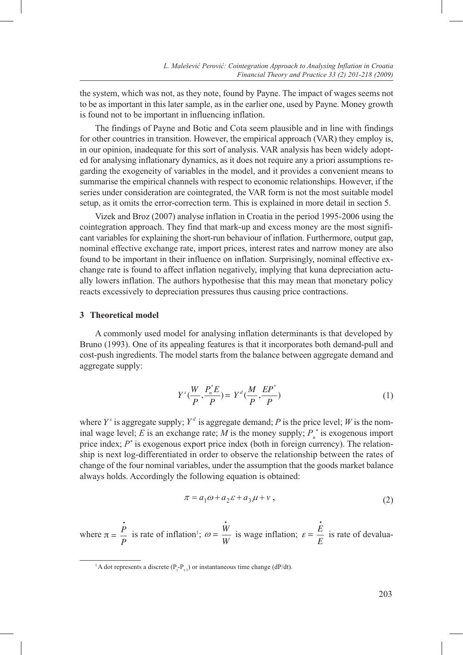the system, which was not, as they note, found by Payne. The impact of wages seems not to be as important in this later sample, as in the earlier one, used by Payne. Money growth is found not to be important in influencing inflation.

The findings of Payne and Botic and Cota seem plausible and in line with findings for other countries in transition. However, the empirical approach (VAR) they employ is, in our opinion, inadequate for this sort of analysis. VAR analysis has been widely adopted for analysing inflationary dynamics, as it does not require any a priori assumptions regarding the exogeneity of variables in the model, and it provides a convenient means to summarise the empirical channels with respect to economic relationships. However, if the series under consideration are cointegrated, the VAR form is not the most suitable model setup, as it omits the error-correction term. This is explained in more detail in section 5.

Vizek and Broz (2007) analyse inflation in Croatia in the period 1995-2006 using the tearstic neuropeak. They find that mode we are also means are the meat cignifical cointegration approach. They find that mark-up and excess money are the most significant variables for explaining the short-run behaviour of inflation. Furthermore, output gap, nominal effective exchange rate, import prices, interest rates and narrow money are also found to be important in their influence on inflation. Surprisingly, nominal effective exchange rate is found to affect inflation negatively, implying that kuna depreciation actuchange rate is found to affect inflation negatively, implying that kuna depreciation actu-<br>ally lowers inflation. The authors hypothesise that this may mean that monetary policy reacts excessively to depreciation pressures thus causing price contractions.  $\overline{C}$  Vizek and Broz (2007) analyse inflation in Croatia in the neriod 1995-2006 using the

# 3 Theoretical model

A commonly used model for analysing inflation determinants is that developed by A commonly used model for analysing inflation determinants is that developed by<br>Bruno (1993). One of its appealing features is that it incorporates both demand-pull and cost-push ingredients. The model starts from the balance between aggregate demand and *P P P P* agregatna ponuda, *Yd* agregatna potražnja, *P* razina cijena, *W* razina nominalnih aggregate supply: gdje je *Ys*

$$
Y^{s}(\frac{W}{P}, \frac{P_{n}^{*}E}{P}) = Y^{d}(\frac{M}{P}, \frac{EP^{*}}{P})
$$
\n(1)

where  $Y^s$  is aggregate supply;  $Y^d$  is aggregate demand; P is the price level; W is the nominal wage level; E is an exchange rate; M is the money supply;  $P_n^*$  is exogenous import<br>method in down  $P_n^*$  is an exchange rate; M is the money supply;  $P_n^*$  is exogenous import price index; *P\** is exogenous export price index (both in foreign currency). The relationship is next log-differentiated in order to observe the relationship between the rates of change of the four nominal variables, under the assumption that the goods market balance change of the four nominal variables, under the assumption that the goods market to always holds. Accordingly the following equation is obtained: varijabli. Dougarijas supply,  $\frac{1}{2}$ 

$$
\pi = a_1 \omega + a_2 \varepsilon + a_3 \mu + v \,, \tag{2}
$$

where  $\pi =$ • *P P*  $\pi$ • where  $\pi = \frac{\dot{P}}{P}$  is rate of inflation<sup>1</sup>;  $\omega = \frac{\dot{W}}{W}$  is wage inflation;  $\varepsilon = \frac{\dot{E}}{E}$  is rate of devalua- $\ddot{\phantom{a}}$ • *W W* • is wage inflation;  $\varepsilon =$ • *E E* • is rate of devalua-

činitelj na strani troškova (engl. *cost-push*) ovisi o udjelu troškova za plaće u ukupnim

inflaciju. Plaće mogu utjecati na inflaciju na dva načina. Prvo, porast plaća iznad porasta

 $(P_{t}P_{t}P_{t})$  or instantaneous time change (dP/dt). <sup>1</sup> A dot represents a discrete ( $P_t$ - $P_{t-1}$ ) or instantaneous time change (dP/dt).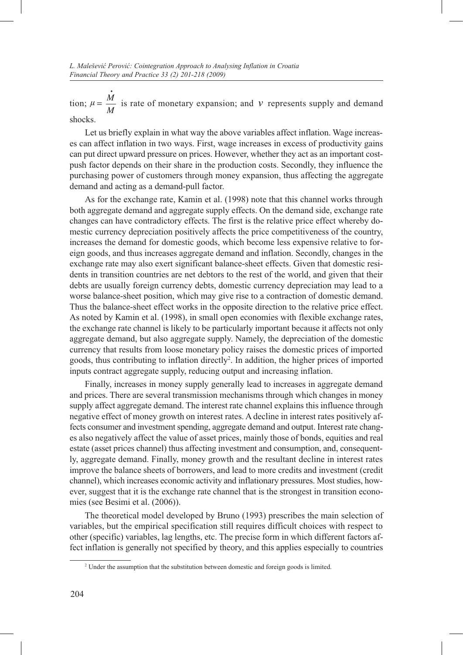tion;  $\mu =$ • *M M* • is rate of monetary expansion; and *v* represents supply and demand shocks.

Let us briefly explain in what way the above variables affect inflation. Wage increases can affect inflation in two ways. First, wage increases in excess of productivity gains can put direct upward pressure on prices. However, whether they act as an important costpush factor depends on their share in the production costs. Secondly, they influence the purchasing power of customers through money expansion, thus affecting the aggregate demand and acting as a demand-pull factor.

As for the exchange rate, Kamin et al. (1998) note that this channel works through both aggregate demand and aggregate supply effects. On the demand side, exchange rate changes can have contradictory effects. The first is the relative price effect whereby domestic currency depreciation positively affects the price competitiveness of the country, increases the demand for domestic goods, which become less expensive relative to foreign goods, and thus increases aggregate demand and inflation. Secondly, changes in the exchange rate may also exert significant balance-sheet effects. Given that domestic residents in transition countries are net debtors to the rest of the world, and given that their debts are usually foreign currency debts, domestic currency depreciation may lead to a worse balance-sheet position, which may give rise to a contraction of domestic demand. Thus the balance-sheet effect works in the opposite direction to the relative price effect. As noted by Kamin et al. (1998), in small open economies with flexible exchange rates, the exchange rate channel is likely to be particularly important because it affects not only aggregate demand, but also aggregate supply. Namely, the depreciation of the domestic currency that results from loose monetary policy raises the domestic prices of imported goods, thus contributing to inflation directly<sup>2</sup>. In addition, the higher prices of imported inputs contract aggregate supply, reducing output and increasing inflation.

Finally, increases in money supply generally lead to increases in aggregate demand and prices. There are several transmission mechanisms through which changes in money supply affect aggregate demand. The interest rate channel explains this influence through negative effect of money growth on interest rates. A decline in interest rates positively affects consumer and investment spending, aggregate demand and output. Interest rate changes also negatively affect the value of asset prices, mainly those of bonds, equities and real estate (asset prices channel) thus affecting investment and consumption, and, consequently, aggregate demand. Finally, money growth and the resultant decline in interest rates improve the balance sheets of borrowers, and lead to more credits and investment (credit channel), which increases economic activity and inflationary pressures. Most studies, however, suggest that it is the exchange rate channel that is the strongest in transition economies (see Besimi et al. (2006)).

The theoretical model developed by Bruno (1993) prescribes the main selection of variables, but the empirical specification still requires difficult choices with respect to other (specific) variables, lag lengths, etc. The precise form in which different factors affect inflation is generally not specified by theory, and this applies especially to countries

<sup>&</sup>lt;sup>2</sup> Under the assumption that the substitution between domestic and foreign goods is limited.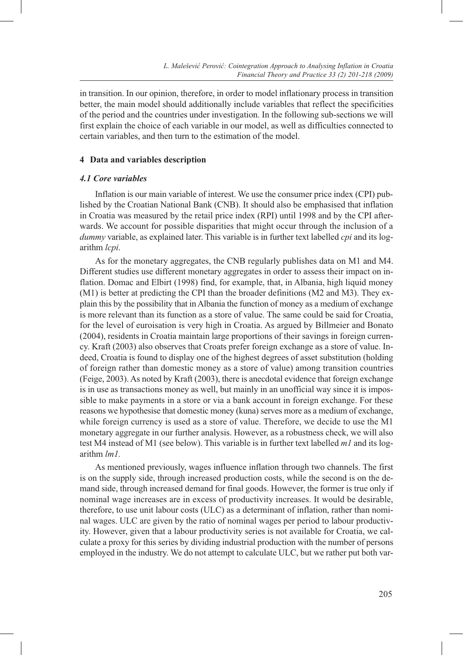in transition. In our opinion, therefore, in order to model inflationary process in transition better, the main model should additionally include variables that reflect the specificities of the period and the countries under investigation. In the following sub-sections we will first explain the choice of each variable in our model, as well as difficulties connected to certain variables, and then turn to the estimation of the model.

# **4 Data and variables description**

# *4.1 Core variables*

Inflation is our main variable of interest. We use the consumer price index (CPI) published by the Croatian National Bank (CNB). It should also be emphasised that inflation in Croatia was measured by the retail price index (RPI) until 1998 and by the CPI afterwards. We account for possible disparities that might occur through the inclusion of a *dummy* variable, as explained later. This variable is in further text labelled *cpi* and its logarithm *lcpi*.

As for the monetary aggregates, the CNB regularly publishes data on M1 and M4. Different studies use different monetary aggregates in order to assess their impact on inflation. Domac and Elbirt (1998) find, for example, that, in Albania, high liquid money (M1) is better at predicting the CPI than the broader definitions (M2 and M3). They explain this by the possibility that in Albania the function of money as a medium of exchange is more relevant than its function as a store of value. The same could be said for Croatia, for the level of euroisation is very high in Croatia. As argued by Billmeier and Bonato (2004), residents in Croatia maintain large proportions of their savings in foreign currency. Kraft (2003) also observes that Croats prefer foreign exchange as a store of value. Indeed, Croatia is found to display one of the highest degrees of asset substitution (holding of foreign rather than domestic money as a store of value) among transition countries (Feige, 2003). As noted by Kraft (2003), there is anecdotal evidence that foreign exchange is in use as transactions money as well, but mainly in an unofficial way since it is impossible to make payments in a store or via a bank account in foreign exchange. For these reasons we hypothesise that domestic money (kuna) serves more as a medium of exchange, while foreign currency is used as a store of value. Therefore, we decide to use the M1 monetary aggregate in our further analysis. However, as a robustness check, we will also test M4 instead of M1 (see below). This variable is in further text labelled *m1* and its logarithm *lm1.*

As mentioned previously, wages influence inflation through two channels. The first is on the supply side, through increased production costs, while the second is on the demand side, through increased demand for final goods. However, the former is true only if nominal wage increases are in excess of productivity increases. It would be desirable, therefore, to use unit labour costs (ULC) as a determinant of inflation, rather than nominal wages. ULC are given by the ratio of nominal wages per period to labour productivity. However, given that a labour productivity series is not available for Croatia, we calculate a proxy for this series by dividing industrial production with the number of persons employed in the industry. We do not attempt to calculate ULC, but we rather put both var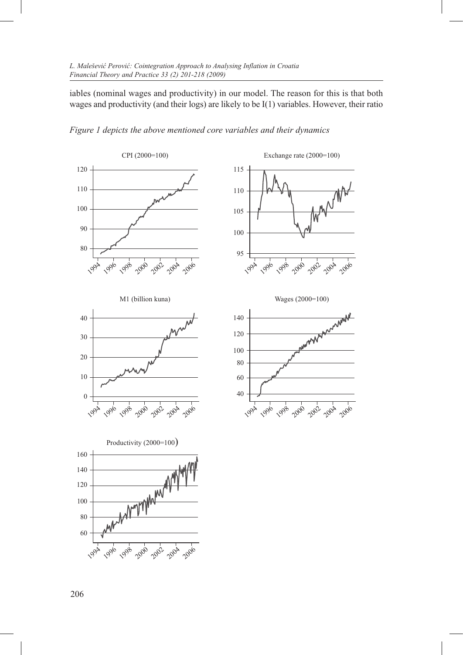iables (nominal wages and productivity) in our model. The reason for this is that both wages and productivity (and their logs) are likely to be I(1) variables. However, their ratio



*Figure 1 depicts the above mentioned core variables and their dynamics*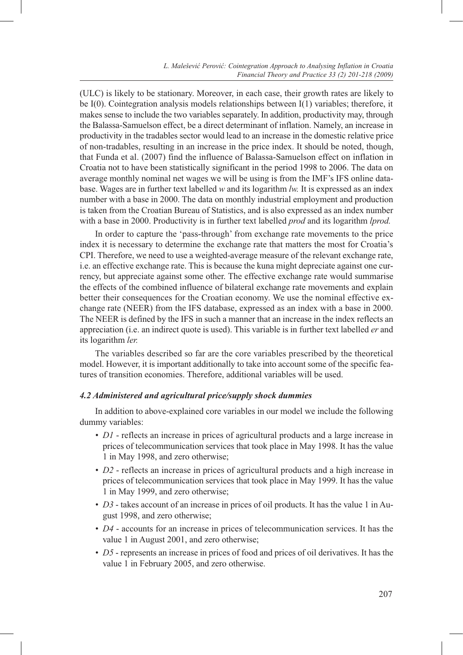*L. Malešević Perović: Cointegration Approach to Analysing Inflation in Croatia Financial Theory and Practice 33 (2) 201-218 (2009)*

(ULC) is likely to be stationary. Moreover, in each case, their growth rates are likely to be I(0). Cointegration analysis models relationships between I(1) variables; therefore, it makes sense to include the two variables separately. In addition, productivity may, through the Balassa-Samuelson effect, be a direct determinant of inflation. Namely, an increase in productivity in the tradables sector would lead to an increase in the domestic relative price of non-tradables, resulting in an increase in the price index. It should be noted, though, that Funda et al. (2007) find the influence of Balassa-Samuelson effect on inflation in Croatia not to have been statistically significant in the period 1998 to 2006. The data on average monthly nominal net wages we will be using is from the IMF's IFS online database. Wages are in further text labelled *w* and its logarithm *lw.* It is expressed as an index number with a base in 2000. The data on monthly industrial employment and production is taken from the Croatian Bureau of Statistics, and is also expressed as an index number with a base in 2000. Productivity is in further text labelled *prod* and its logarithm *lprod.*

In order to capture the 'pass-through' from exchange rate movements to the price index it is necessary to determine the exchange rate that matters the most for Croatia's CPI. Therefore, we need to use a weighted-average measure of the relevant exchange rate, i.e. an effective exchange rate. This is because the kuna might depreciate against one currency, but appreciate against some other. The effective exchange rate would summarise the effects of the combined influence of bilateral exchange rate movements and explain better their consequences for the Croatian economy. We use the nominal effective exchange rate (NEER) from the IFS database, expressed as an index with a base in 2000. The NEER is defined by the IFS in such a manner that an increase in the index reflects an appreciation (i.e. an indirect quote is used). This variable is in further text labelled *er* and its logarithm *ler.*

The variables described so far are the core variables prescribed by the theoretical model. However, it is important additionally to take into account some of the specific features of transition economies. Therefore, additional variables will be used.

#### *4.2 Administered and agricultural price/supply shock dummies*

In addition to above-explained core variables in our model we include the following dummy variables:

- *D1* reflects an increase in prices of agricultural products and a large increase in prices of telecommunication services that took place in May 1998. It has the value 1 in May 1998, and zero otherwise;
- *D2* reflects an increase in prices of agricultural products and a high increase in prices of telecommunication services that took place in May 1999. It has the value 1 in May 1999, and zero otherwise;
- *D3* takes account of an increase in prices of oil products. It has the value 1 in August 1998, and zero otherwise;
- *D4* accounts for an increase in prices of telecommunication services. It has the value 1 in August 2001, and zero otherwise;
- *D5* represents an increase in prices of food and prices of oil derivatives. It has the value 1 in February 2005, and zero otherwise.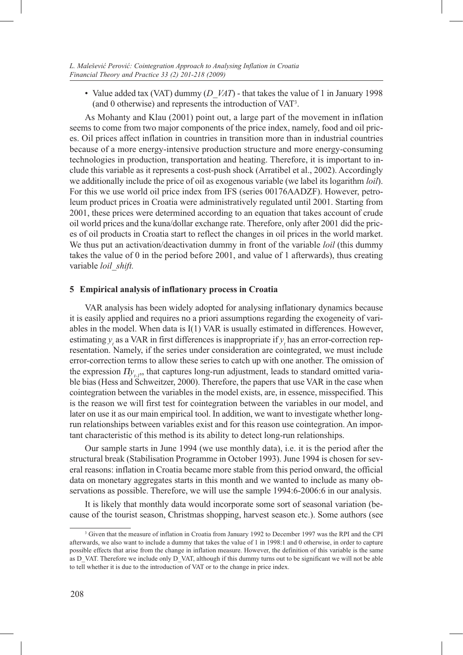• Value added tax (VAT) dummy (*D\_VAT*) - that takes the value of 1 in January 1998 (and 0 otherwise) and represents the introduction of VAT3 .

As Mohanty and Klau (2001) point out, a large part of the movement in inflation seems to come from two major components of the price index, namely, food and oil prices. Oil prices affect inflation in countries in transition more than in industrial countries because of a more energy-intensive production structure and more energy-consuming technologies in production, transportation and heating. Therefore, it is important to include this variable as it represents a cost-push shock (Arratibel et al., 2002). Accordingly we additionally include the price of oil as exogenous variable (we label its logarithm *loil*). For this we use world oil price index from IFS (series 00176AADZF). However, petroleum product prices in Croatia were administratively regulated until 2001. Starting from 2001, these prices were determined according to an equation that takes account of crude oil world prices and the kuna/dollar exchange rate. Therefore, only after 2001 did the prices of oil products in Croatia start to reflect the changes in oil prices in the world market. We thus put an activation/deactivation dummy in front of the variable *loil* (this dummy takes the value of 0 in the period before 2001, and value of 1 afterwards), thus creating variable *loil\_shift.*

#### **5 Empirical analysis of inflationary process in Croatia**

VAR analysis has been widely adopted for analysing inflationary dynamics because it is easily applied and requires no a priori assumptions regarding the exogeneity of variables in the model. When data is I(1) VAR is usually estimated in differences. However, estimating  $y_t$  as a VAR in first differences is inappropriate if  $y_t$  has an error-correction representation. Namely, if the series under consideration are cointegrated, we must include error-correction terms to allow these series to catch up with one another. The omission of the expression  $\Pi y_{t}$ , that captures long-run adjustment, leads to standard omitted variable bias (Hess and Schweitzer, 2000). Therefore, the papers that use VAR in the case when cointegration between the variables in the model exists, are, in essence, misspecified. This is the reason we will first test for cointegration between the variables in our model, and later on use it as our main empirical tool. In addition, we want to investigate whether longrun relationships between variables exist and for this reason use cointegration. An important characteristic of this method is its ability to detect long-run relationships.

Our sample starts in June 1994 (we use monthly data), i.e. it is the period after the structural break (Stabilisation Programme in October 1993). June 1994 is chosen for several reasons: inflation in Croatia became more stable from this period onward, the official data on monetary aggregates starts in this month and we wanted to include as many observations as possible. Therefore, we will use the sample 1994:6-2006:6 in our analysis.

It is likely that monthly data would incorporate some sort of seasonal variation (because of the tourist season, Christmas shopping, harvest season etc.). Some authors (see

<sup>&</sup>lt;sup>3</sup> Given that the measure of inflation in Croatia from January 1992 to December 1997 was the RPI and the CPI afterwards, we also want to include a dummy that takes the value of 1 in 1998:1 and 0 otherwise, in order to capture possible effects that arise from the change in inflation measure. However, the definition of this variable is the same as D\_VAT. Therefore we include only D\_VAT, although if this dummy turns out to be significant we will not be able to tell whether it is due to the introduction of VAT or to the change in price index.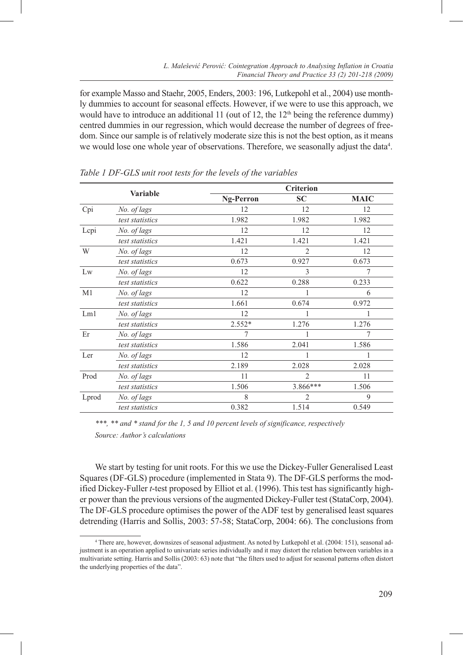for example Masso and Staehr, 2005, Enders, 2003: 196, Lutkepohl et al., 2004) use monthly dummies to account for seasonal effects. However, if we were to use this approach, we would have to introduce an additional 11 (out of 12, the  $12<sup>th</sup>$  being the reference dummy) centred dummies in our regression, which would decrease the number of degrees of freedom. Since our sample is of relatively moderate size this is not the best option, as it means we would lose one whole year of observations. Therefore, we seasonally adjust the data<sup>4</sup>.

|                | <b>Variable</b> | <b>Ng-Perron</b> | <b>SC</b>      | <b>MAIC</b> |
|----------------|-----------------|------------------|----------------|-------------|
| Cpi            | No. of lags     | 12               | 12             | 12          |
|                | test statistics | 1.982            | 1.982          | 1.982       |
| Lepi           | No. of lags     | 12               | 12             | 12          |
|                | test statistics | 1.421            | 1.421          | 1.421       |
| W              | No. of lags     | 12               | $\overline{2}$ | 12          |
|                | test statistics | 0.673            | 0.927          | 0.673       |
| Lw             | No. of lags     | 12               | 3              | 7           |
|                | test statistics | 0.622            | 0.288          | 0.233       |
| M <sub>1</sub> | No. of lags     | 12               | 1              | 6           |
|                | test statistics | 1.661            | 0.674          | 0.972       |
| Lm1            | No. of lags     | 12               |                |             |
|                | test statistics | $2.552*$         | 1.276          | 1.276       |
| Er             | No. of lags     | 7                | 1              | 7           |
|                | test statistics | 1.586            | 2.041          | 1.586       |
| Ler            | No. of lags     | 12               | 1              | 1           |
|                | test statistics | 2.189            | 2.028          | 2.028       |
| Prod           | No. of lags     | 11               | $\overline{2}$ | 11          |
|                | test statistics | 1.506            | $3.866***$     | 1.506       |
| Lprod          | No. of lags     | 8                | $\overline{2}$ | 9           |
|                | test statistics | 0.382            | 1.514          | 0.549       |

*Table 1 DF-GLS unit root tests for the levels of the variables* 

*\*\*\*, \*\* and \* stand for the 1, 5 and 10 percent levels of significance, respectively Source: Author's calculations* 

We start by testing for unit roots. For this we use the Dickey-Fuller Generalised Least Squares (DF-GLS) procedure (implemented in Stata 9). The DF-GLS performs the modified Dickey-Fuller *t*-test proposed by Elliot et al. (1996). This test has significantly higher power than the previous versions of the augmented Dickey-Fuller test (StataCorp, 2004). The DF-GLS procedure optimises the power of the ADF test by generalised least squares detrending (Harris and Sollis, 2003: 57-58; StataCorp, 2004: 66). The conclusions from

<sup>4</sup> There are, however, downsizes of seasonal adjustment. As noted by Lutkepohl et al. (2004: 151), seasonal adjustment is an operation applied to univariate series individually and it may distort the relation between variables in a multivariate setting. Harris and Sollis (2003: 63) note that "the filters used to adjust for seasonal patterns often distort the underlying properties of the data".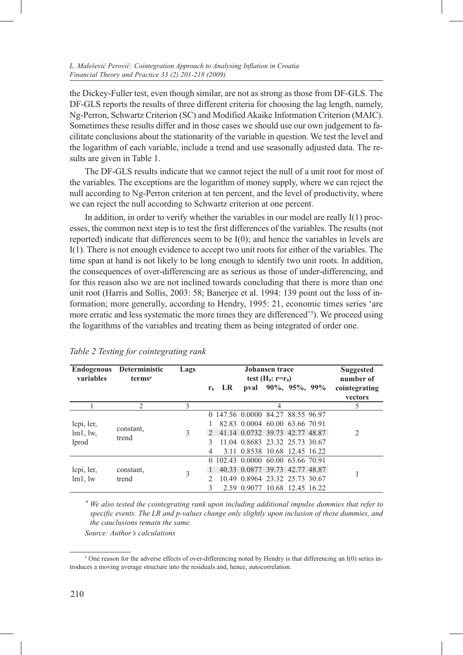the Dickey-Fuller test, even though similar, are not as strong as those from DF-GLS. The DF-GLS reports the results of three different criteria for choosing the lag length, namely, Ng-Perron, Schwartz Criterion (SC) and Modified Akaike Information Criterion (MAIC). Sometimes these results differ and in those cases we should use our own judgement to facilitate conclusions about the stationarity of the variable in question. We test the level and the logarithm of each variable, include a trend and use seasonally adjusted data. The results are given in Table 1.

The DF-GLS results indicate that we cannot reject the null of a unit root for most of the variables. The exceptions are the logarithm of money supply, where we can reject the null according to Ng-Perron criterion at ten percent, and the level of productivity, where we can reject the null according to Schwartz criterion at one percent.

In addition, in order to verify whether the variables in our model are really  $I(1)$  processes, the common next step is to test the first differences of the variables. The results (not reported) indicate that differences seem to be I(0); and hence the variables in levels are I(1). There is not enough evidence to accept two unit roots for either of the variables. The time span at hand is not likely to be long enough to identify two unit roots. In addition, the consequences of over-differencing are as serious as those of under-differencing, and for this reason also we are not inclined towards concluding that there is more than one unit root (Harris and Sollis, 2003: 58; Banerjee et al. 1994: 139 point out the loss of information; more generally, according to Hendry, 1995: 21, economic times series 'are more erratic and less systematic the more times they are differenced'<sup>5</sup>). We proceed using the logarithms of the variables and treating them as being integrated of order one.

| <b>Endogenous</b><br>variables | Deterministic<br>$terms^a$ | Lags | Johansen trace<br>test $(H_0: r=r_0)$ |     |                                   |                         |  | <b>Suggested</b><br>number of |                          |
|--------------------------------|----------------------------|------|---------------------------------------|-----|-----------------------------------|-------------------------|--|-------------------------------|--------------------------|
|                                |                            |      | r <sub>0</sub>                        | LR. |                                   | pval $90\%, 95\%, 99\%$ |  |                               | cointegrating<br>vectors |
|                                | 2                          | 3    |                                       |     |                                   | $\overline{4}$          |  |                               | 5                        |
|                                | constant,<br>trend         | 3    |                                       |     | 0 147.56 0.0000 84.27 88.55 96.97 |                         |  |                               |                          |
| lepi, ler,                     |                            |      |                                       |     | 82.83 0.0004 60.00 63.66 70.91    |                         |  |                               |                          |
| lm1, lw,                       |                            |      | $\mathcal{L}$                         |     | 41.14 0.0732 39.73 42.77 48.87    |                         |  |                               | 2                        |
| lprod                          |                            |      | 3                                     |     | 11.04 0.8683 23.32 25.73 30.67    |                         |  |                               |                          |
|                                |                            |      | 4                                     |     | 3.11 0.8538 10.68 12.45 16.22     |                         |  |                               |                          |
|                                | constant,<br>trend         | 3    |                                       |     | 0 102.43 0.0000 60.00 63.66 70.91 |                         |  |                               |                          |
| lepi, ler,                     |                            |      |                                       |     | 40.33 0.0877 39.73 42.77 48.87    |                         |  |                               |                          |
| lm1, lw                        |                            |      | $\mathcal{D}$                         |     | 10.49 0.8964 23.32 25.73 30.67    |                         |  |                               |                          |
|                                |                            |      | 3                                     |     | 2.59 0.9077 10.68 12.45 16.22     |                         |  |                               |                          |

|  | Table 2 Testing for cointegrating rank |  |  |
|--|----------------------------------------|--|--|
|  |                                        |  |  |

*<sup>a</sup> We also tested the cointegrating rank upon including additional impulse dummies that refer to specific events. The LR and p-values change only slightly upon inclusion of these dummies, and the cauclusions remain the same.*

*Source: Author's calculations*

<sup>&</sup>lt;sup>5</sup> One reason for the adverse effects of over-differencing noted by Hendry is that differencing an I(0) series introduces a moving average structure into the residuals and, hence, autocorrelation.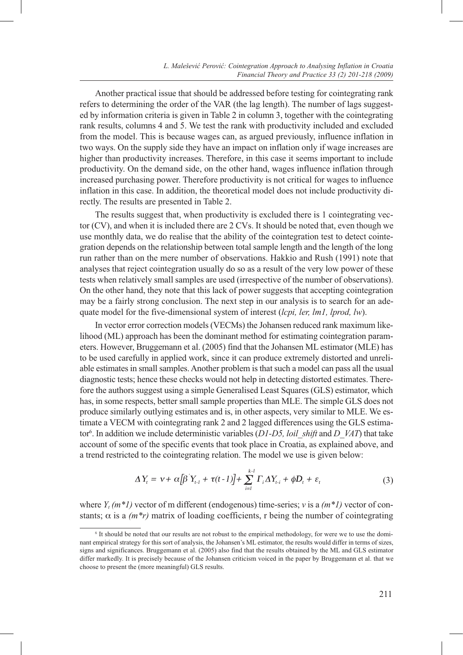Another practical issue that should be addressed before testing for cointegrating rank refers to determining the order of the VAR (the lag length). The number of lags suggested by information criteria is given in Table 2 in column 3, together with the cointegrating rank results, columns 4 and 5. We test the rank with productivity included and excluded from the model. This is because wages can, as argued previously, influence inflation in two ways. On the supply side they have an impact on inflation only if wage increases are higher than productivity increases. Therefore, in this case it seems important to include productivity. On the demand side, on the other hand, wages influence inflation through increased purchasing power. Therefore productivity is not critical for wages to influence inflation in this case. In addition, the theoretical model does not include productivity directly. The results are presented in Table 2.

The results suggest that, when productivity is excluded there is 1 cointegrating vector (CV), and when it is included there are 2 CVs. It should be noted that, even though we use monthly data, we do realise that the ability of the cointegration test to detect cointegration depends on the relationship between total sample length and the length of the long run rather than on the mere number of observations. Hakkio and Rush (1991) note that analyses that reject cointegration usually do so as a result of the very low power of these tests when relatively small samples are used (irrespective of the number of observations). On the other hand, they note that this lack of power suggests that accepting cointegration may be a fairly strong conclusion. The next step in our analysis is to search for an adequate model for the five-dimensional system of interest (*lcpi, ler, lm1, lprod, lw*).

In vector error correction models (VECMs) the Johansen reduced rank maximum likelihood (ML) approach has been the dominant method for estimating cointegration parameters. However, Bruggemann et al. (2005) find that the Johansen ML estimator (MLE) has to be used carefully in applied work, since it can produce extremely distorted and unreliable estimates in small samples. Another problem is that such a model can pass all the usual diagnostic tests; hence these checks would not help in detecting distorted estimates. Therefore the authors suggest using a simple Generalised Least Squares (GLS) estimator, which has, in some respects, better small sample properties than MLE. The simple GLS does not produce similarly outlying estimates and is, in other aspects, very similar to MLE. We estimate a VECM with cointegrating rank 2 and 2 lagged differences using the GLS estimator6 . In addition we include deterministic variables (*D1-D5, loil\_shift* and *D\_VAT*) that take account of some of the specific events that took place in Croatia, as explained above, and a trend restricted to the cointegrating relation. The model we use is given below:

$$
\Delta Y_t = v + \alpha \left[ \beta' Y_{t-1} + \tau (t-1) \right] + \sum_{i=1}^{k-1} \Gamma_i \Delta Y_{t-i} + \phi D_t + \varepsilon_t \tag{3}
$$

where *Yt (m\*1)* vector of m different (endogenous) time-series; *ν* is a *(m\*1)* vector of constants;  $\alpha$  is a  $(m*r)$  matrix of loading coefficients, r being the number of cointegrating

<sup>6</sup> It should be noted that our results are not robust to the empirical methodology, for were we to use the dominant empirical strategy for this sort of analysis, the Johansen's ML estimator, the results would differ in terms of sizes, signs and significances. Bruggemann et al. (2005) also find that the results obtained by the ML and GLS estimator differ markedly. It is precisely because of the Johansen criticism voiced in the paper by Bruggemann et al. that we choose to present the (more meaningful) GLS results.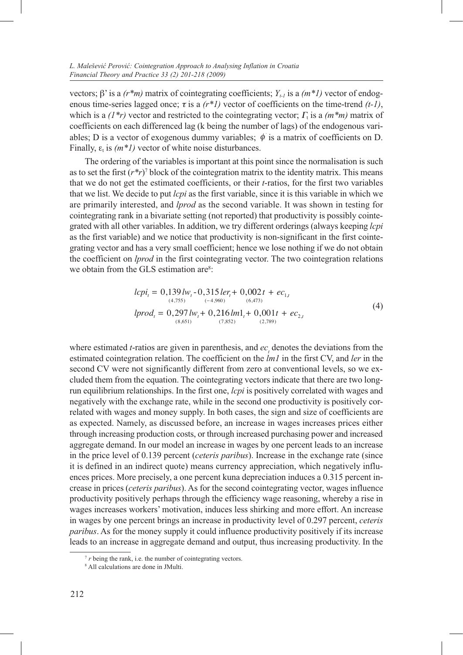vectors; β' is a  $(r*m)$  matrix of cointegrating coefficients;  $Y_{t-1}$  is a  $(m*T)$  vector of endogenous time-series lagged once;  $\tau$  is a  $(r^*1)$  vector of coefficients on the time-trend  $(t-1)$ , which is a  $(1^*r)$  vector and restricted to the cointegrating vector; Γ<sub>t</sub> is a  $(m^*m)$  matrix of coefficients on each differenced lag (k being the number of lags) of the endogenous variables; D is a vector of exogenous dummy variables;  $\phi$  is a matrix of coefficients on D. Finally,  $\varepsilon_t$  is  $(m^*1)$  vector of white noise disturbances.

The ordering of the variables is important at this point since the normalisation is such as to set the first (*r\*r*) 7 block of the cointegration matrix to the identity matrix. This means that we do not get the estimated coefficients, or their *t*-ratios, for the first two variables that we list. We decide to put *lcpi* as the first variable, since it is this variable in which we are primarily interested, and *lprod* as the second variable. It was shown in testing for cointegrating rank in a bivariate setting (not reported) that productivity is possibly cointegrated with all other variables. In addition, we try different orderings (always keeping *lcpi* as the first variable) and we notice that productivity is non-significant in the first cointegrating vector and has a very small coefficient; hence we lose nothing if we do not obtain the coefficient on *lprod* in the first cointegrating vector. The two cointegration relations we obtain from the GLS estimation are<sup>8</sup>:

$$
lcpi_t = 0,139lw_t - 0,315\,ler_t + 0,002t + ec_{1,t}
$$
  
\n
$$
lprod_t = 0,297lw_t + 0,216\,lm1_t + 0,001t + ec_{2,t}
$$
  
\n
$$
\xrightarrow{(8,651)}(7,852)\xrightarrow{(7,852)}(2,789)}(4)
$$

where estimated *t*-ratios are given in parenthesis, and  $ec<sub>i</sub>$  denotes the deviations from the estimated cointegration relation. The coefficient on the *lm1* in the first CV, and *ler* in the second CV were not significantly different from zero at conventional levels, so we excluded them from the equation. The cointegrating vectors indicate that there are two longrun equilibrium relationships. In the first one, *lcpi* is positively correlated with wages and negatively with the exchange rate, while in the second one productivity is positively correlated with wages and money supply. In both cases, the sign and size of coefficients are as expected. Namely, as discussed before, an increase in wages increases prices either through increasing production costs, or through increased purchasing power and increased aggregate demand. In our model an increase in wages by one percent leads to an increase in the price level of 0.139 percent (*ceteris paribus*). Increase in the exchange rate (since it is defined in an indirect quote) means currency appreciation, which negatively influences prices. More precisely, a one percent kuna depreciation induces a 0.315 percent increase in prices (*ceteris paribus*). As for the second cointegrating vector, wages influence productivity positively perhaps through the efficiency wage reasoning, whereby a rise in wages increases workers' motivation, induces less shirking and more effort. An increase in wages by one percent brings an increase in productivity level of 0.297 percent, *ceteris paribus*. As for the money supply it could influence productivity positively if its increase leads to an increase in aggregate demand and output, thus increasing productivity. In the

<sup>&</sup>lt;sup>7</sup> *r* being the rank, i.e. the number of cointegrating vectors.

<sup>8</sup> All calculations are done in JMulti.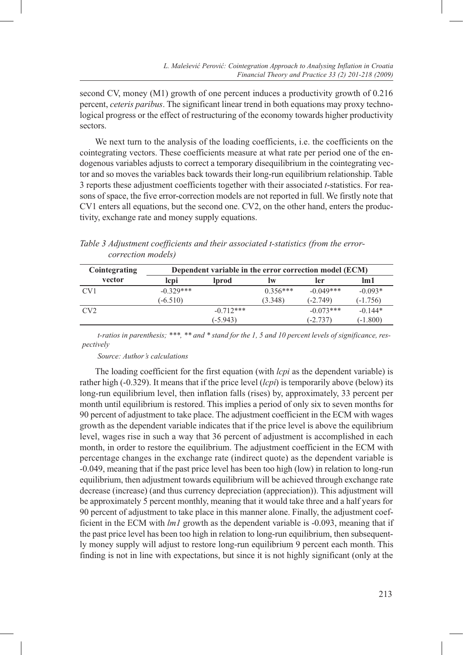second CV, money (M1) growth of one percent induces a productivity growth of 0.216 percent, *ceteris paribus*. The significant linear trend in both equations may proxy technological progress or the effect of restructuring of the economy towards higher productivity sectors.

We next turn to the analysis of the loading coefficients, i.e. the coefficients on the cointegrating vectors. These coefficients measure at what rate per period one of the endogenous variables adjusts to correct a temporary disequilibrium in the cointegrating vector and so moves the variables back towards their long-run equilibrium relationship. Table 3 reports these adjustment coefficients together with their associated *t*-statistics. For reasons of space, the five error-correction models are not reported in full. We firstly note that CV1 enters all equations, but the second one. CV2, on the other hand, enters the productivity, exchange rate and money supply equations.

| Cointegrating | Dependent variable in the error correction model (ECM) |             |            |             |            |  |  |  |
|---------------|--------------------------------------------------------|-------------|------------|-------------|------------|--|--|--|
| vector        | lcpi<br>lprod                                          |             | ler<br>lw  |             | lm1        |  |  |  |
| CV1           | $-0.329***$                                            |             | $0.356***$ | $-0.049***$ | $-0.093*$  |  |  |  |
|               | $(-6.510)$                                             |             | (3.348)    | $(-2.749)$  | $(-1.756)$ |  |  |  |
| CV2           |                                                        | $-0.712***$ |            | $-0.073***$ | $-0.144*$  |  |  |  |
|               |                                                        | $(-5.943)$  |            | $-2.737$    | $(-1.800)$ |  |  |  |

|                            |  | Table 3 Adjustment coefficients and their associated t-statistics (from the error- |  |  |
|----------------------------|--|------------------------------------------------------------------------------------|--|--|
| <i>correction models</i> ) |  |                                                                                    |  |  |

*t-ratios in parenthesis; \*\*\*, \*\* and \* stand for the 1, 5 and 10 percent levels of significance, respectively*

#### *Source: Author's calculations*

The loading coefficient for the first equation (with *lcpi* as the dependent variable) is rather high (-0.329). It means that if the price level (*lcpi*) is temporarily above (below) its long-run equilibrium level, then inflation falls (rises) by, approximately, 33 percent per month until equilibrium is restored. This implies a period of only six to seven months for 90 percent of adjustment to take place. The adjustment coefficient in the ECM with wages growth as the dependent variable indicates that if the price level is above the equilibrium level, wages rise in such a way that 36 percent of adjustment is accomplished in each month, in order to restore the equilibrium. The adjustment coefficient in the ECM with percentage changes in the exchange rate (indirect quote) as the dependent variable is -0.049, meaning that if the past price level has been too high (low) in relation to long-run equilibrium, then adjustment towards equilibrium will be achieved through exchange rate decrease (increase) (and thus currency depreciation (appreciation)). This adjustment will be approximately 5 percent monthly, meaning that it would take three and a half years for 90 percent of adjustment to take place in this manner alone. Finally, the adjustment coefficient in the ECM with *lm1* growth as the dependent variable is -0.093, meaning that if the past price level has been too high in relation to long-run equilibrium, then subsequently money supply will adjust to restore long-run equilibrium 9 percent each month. This finding is not in line with expectations, but since it is not highly significant (only at the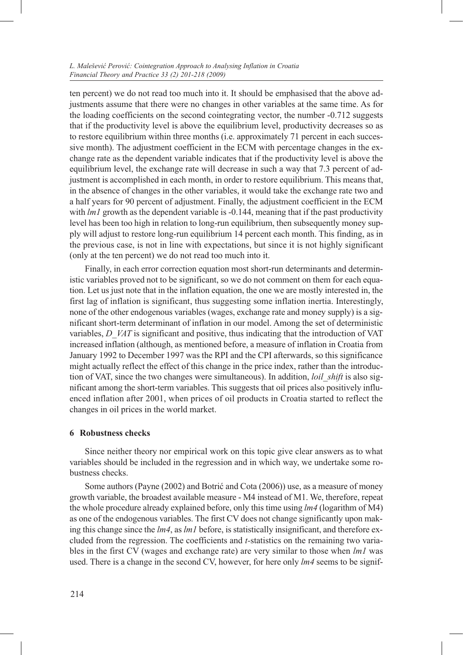ten percent) we do not read too much into it. It should be emphasised that the above adjustments assume that there were no changes in other variables at the same time. As for the loading coefficients on the second cointegrating vector, the number -0.712 suggests that if the productivity level is above the equilibrium level, productivity decreases so as to restore equilibrium within three months (i.e. approximately 71 percent in each successive month). The adjustment coefficient in the ECM with percentage changes in the exchange rate as the dependent variable indicates that if the productivity level is above the equilibrium level, the exchange rate will decrease in such a way that 7.3 percent of adjustment is accomplished in each month, in order to restore equilibrium. This means that, in the absence of changes in the other variables, it would take the exchange rate two and a half years for 90 percent of adjustment. Finally, the adjustment coefficient in the ECM with *lm1* growth as the dependent variable is -0.144, meaning that if the past productivity level has been too high in relation to long-run equilibrium, then subsequently money supply will adjust to restore long-run equilibrium 14 percent each month. This finding, as in the previous case, is not in line with expectations, but since it is not highly significant (only at the ten percent) we do not read too much into it.

Finally, in each error correction equation most short-run determinants and deterministic variables proved not to be significant, so we do not comment on them for each equation. Let us just note that in the inflation equation, the one we are mostly interested in, the first lag of inflation is significant, thus suggesting some inflation inertia. Interestingly, none of the other endogenous variables (wages, exchange rate and money supply) is a significant short-term determinant of inflation in our model. Among the set of deterministic variables, *D\_VAT* is significant and positive, thus indicating that the introduction of VAT increased inflation (although, as mentioned before, a measure of inflation in Croatia from January 1992 to December 1997 was the RPI and the CPI afterwards, so this significance might actually reflect the effect of this change in the price index, rather than the introduction of VAT, since the two changes were simultaneous). In addition, *loil\_shift* is also significant among the short-term variables. This suggests that oil prices also positively influenced inflation after 2001, when prices of oil products in Croatia started to reflect the changes in oil prices in the world market.

# **6 Robustness checks**

Since neither theory nor empirical work on this topic give clear answers as to what variables should be included in the regression and in which way, we undertake some robustness checks.

Some authors (Payne (2002) and Botrić and Cota (2006)) use, as a measure of money growth variable, the broadest available measure - M4 instead of M1. We, therefore, repeat the whole procedure already explained before, only this time using *lm4* (logarithm of M4) as one of the endogenous variables. The first CV does not change significantly upon making this change since the *lm4*, as *lm1* before, is statistically insignificant, and therefore excluded from the regression. The coefficients and *t-*statistics on the remaining two variables in the first CV (wages and exchange rate) are very similar to those when *lm1* was used. There is a change in the second CV, however, for here only *lm4* seems to be signif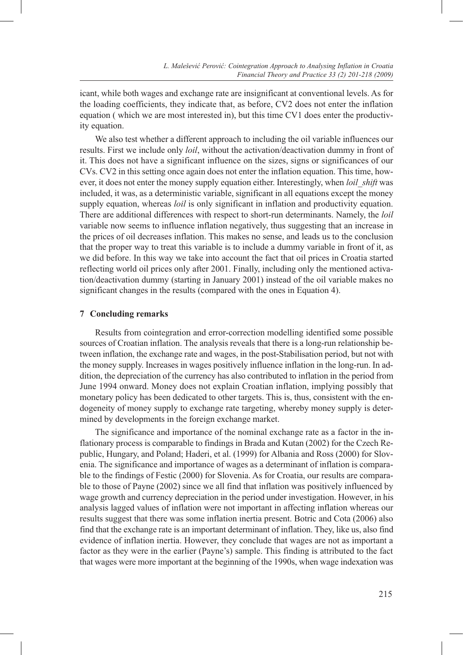icant, while both wages and exchange rate are insignificant at conventional levels. As for the loading coefficients, they indicate that, as before, CV2 does not enter the inflation equation ( which we are most interested in), but this time CV1 does enter the productivity equation.

We also test whether a different approach to including the oil variable influences our results. First we include only *loil*, without the activation/deactivation dummy in front of it. This does not have a significant influence on the sizes, signs or significances of our CVs. CV2 in this setting once again does not enter the inflation equation. This time, however, it does not enter the money supply equation either. Interestingly, when *loil\_shift* was included, it was, as a deterministic variable, significant in all equations except the money supply equation, whereas *loil* is only significant in inflation and productivity equation. There are additional differences with respect to short-run determinants. Namely, the *loil*  variable now seems to influence inflation negatively, thus suggesting that an increase in the prices of oil decreases inflation. This makes no sense, and leads us to the conclusion that the proper way to treat this variable is to include a dummy variable in front of it, as we did before. In this way we take into account the fact that oil prices in Croatia started reflecting world oil prices only after 2001. Finally, including only the mentioned activation/deactivation dummy (starting in January 2001) instead of the oil variable makes no significant changes in the results (compared with the ones in Equation 4).

# **7 Concluding remarks**

Results from cointegration and error-correction modelling identified some possible sources of Croatian inflation. The analysis reveals that there is a long-run relationship between inflation, the exchange rate and wages, in the post-Stabilisation period, but not with the money supply. Increases in wages positively influence inflation in the long-run. In addition, the depreciation of the currency has also contributed to inflation in the period from June 1994 onward. Money does not explain Croatian inflation, implying possibly that monetary policy has been dedicated to other targets. This is, thus, consistent with the endogeneity of money supply to exchange rate targeting, whereby money supply is determined by developments in the foreign exchange market.

The significance and importance of the nominal exchange rate as a factor in the inflationary process is comparable to findings in Brada and Kutan (2002) for the Czech Republic, Hungary, and Poland; Haderi, et al. (1999) for Albania and Ross (2000) for Slovenia. The significance and importance of wages as a determinant of inflation is comparable to the findings of Festic (2000) for Slovenia. As for Croatia, our results are comparable to those of Payne (2002) since we all find that inflation was positively influenced by wage growth and currency depreciation in the period under investigation. However, in his analysis lagged values of inflation were not important in affecting inflation whereas our results suggest that there was some inflation inertia present. Botric and Cota (2006) also find that the exchange rate is an important determinant of inflation. They, like us, also find evidence of inflation inertia. However, they conclude that wages are not as important a factor as they were in the earlier (Payne's) sample. This finding is attributed to the fact that wages were more important at the beginning of the 1990s, when wage indexation was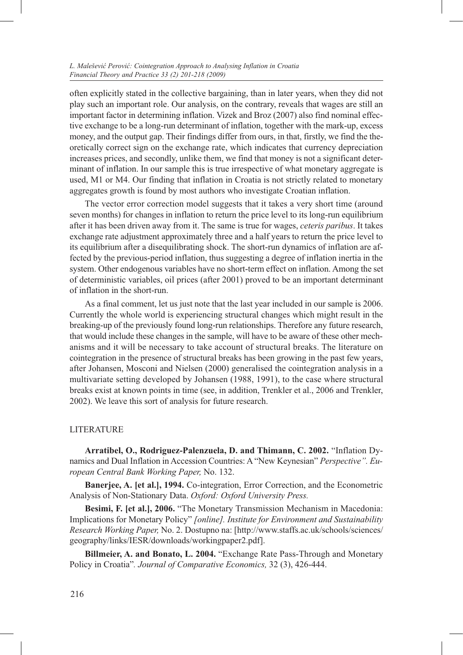often explicitly stated in the collective bargaining, than in later years, when they did not play such an important role. Our analysis, on the contrary, reveals that wages are still an important factor in determining inflation. Vizek and Broz (2007) also find nominal effective exchange to be a long-run determinant of inflation, together with the mark-up, excess money, and the output gap. Their findings differ from ours, in that, firstly, we find the theoretically correct sign on the exchange rate, which indicates that currency depreciation increases prices, and secondly, unlike them, we find that money is not a significant determinant of inflation. In our sample this is true irrespective of what monetary aggregate is used, M1 or M4. Our finding that inflation in Croatia is not strictly related to monetary aggregates growth is found by most authors who investigate Croatian inflation.

The vector error correction model suggests that it takes a very short time (around seven months) for changes in inflation to return the price level to its long-run equilibrium after it has been driven away from it. The same is true for wages, *ceteris paribus*. It takes exchange rate adjustment approximately three and a half years to return the price level to its equilibrium after a disequilibrating shock. The short-run dynamics of inflation are affected by the previous-period inflation, thus suggesting a degree of inflation inertia in the system. Other endogenous variables have no short-term effect on inflation. Among the set of deterministic variables, oil prices (after 2001) proved to be an important determinant of inflation in the short-run.

As a final comment, let us just note that the last year included in our sample is 2006. Currently the whole world is experiencing structural changes which might result in the breaking-up of the previously found long-run relationships. Therefore any future research, that would include these changes in the sample, will have to be aware of these other mechanisms and it will be necessary to take account of structural breaks. The literature on cointegration in the presence of structural breaks has been growing in the past few years, after Johansen, Mosconi and Nielsen (2000) generalised the cointegration analysis in a multivariate setting developed by Johansen (1988, 1991), to the case where structural breaks exist at known points in time (see, in addition, Trenkler et al., 2006 and Trenkler, 2002). We leave this sort of analysis for future research.

# **LITERATURE**

**Arratibel, O., Rodriguez-Palenzuela, D. and Thimann, C. 2002.** "Inflation Dynamics and Dual Inflation in Accession Countries: A "New Keynesian" *Perspective". European Central Bank Working Paper,* No. 132.

**Banerjee, A. [et al.], 1994.** Co-integration, Error Correction, and the Econometric Analysis of Non-Stationary Data. *Oxford: Oxford University Press.*

**Besimi, F. [et al.], 2006.** "The Monetary Transmission Mechanism in Macedonia: Implications for Monetary Policy" *[online]. Institute for Environment and Sustainability Research Working Paper,* No. 2. Dostupno na: [http://www.staffs.ac.uk/schools/sciences/ geography/links/IESR/downloads/workingpaper2.pdf].

**Billmeier, A. and Bonato, L. 2004.** "Exchange Rate Pass-Through and Monetary Policy in Croatia"*. Journal of Comparative Economics,* 32 (3), 426-444.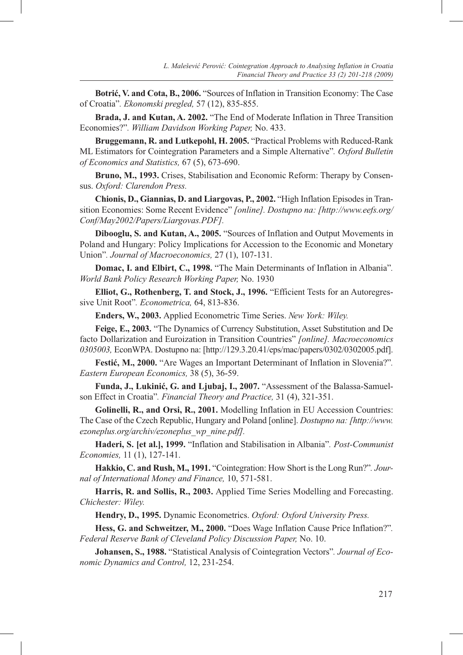**Botrić, V. and Cota, B., 2006.** "Sources of Inflation in Transition Economy: The Case of Croatia"*. Ekonomski pregled,* 57 (12), 835-855.

**Brada, J. and Kutan, A. 2002.** "The End of Moderate Inflation in Three Transition Economies?"*. William Davidson Working Paper,* No. 433.

**Bruggemann, R. and Lutkepohl, H. 2005.** "Practical Problems with Reduced-Rank ML Estimators for Cointegration Parameters and a Simple Alternative"*. Oxford Bulletin of Economics and Statistics,* 67 (5), 673-690.

**Bruno, M., 1993.** Crises, Stabilisation and Economic Reform: Therapy by Consensus. *Oxford: Clarendon Press.* 

**Chionis, D., Giannias, D. and Liargovas, P., 2002.** "High Inflation Episodes in Transition Economies: Some Recent Evidence" *[online]. Dostupno na: [http://www.eefs.org/ Conf/May2002/Papers/Liargovas.PDF].*

**Dibooglu, S. and Kutan, A., 2005.** "Sources of Inflation and Output Movements in Poland and Hungary: Policy Implications for Accession to the Economic and Monetary Union"*. Journal of Macroeconomics,* 27 (1), 107-131.

**Domac, I. and Elbirt, C., 1998.** "The Main Determinants of Inflation in Albania"*. World Bank Policy Research Working Paper,* No. 1930

**Elliot, G., Rothenberg, T. and Stock, J., 1996.** "Efficient Tests for an Autoregressive Unit Root"*. Econometrica,* 64, 813-836.

**Enders, W., 2003.** Applied Econometric Time Series. *New York: Wiley.*

**Feige, E., 2003.** "The Dynamics of Currency Substitution, Asset Substitution and De facto Dollarization and Euroization in Transition Countries" *[online]. Macroeconomics 0305003,* EconWPA. Dostupno na: [http://129.3.20.41/eps/mac/papers/0302/0302005.pdf].

**Festić, M., 2000.** "Are Wages an Important Determinant of Inflation in Slovenia?"*. Eastern European Economics,* 38 (5), 36-59.

**Funda, J., Lukinić, G. and Ljubaj, I., 2007.** "Assessment of the Balassa-Samuelson Effect in Croatia"*. Financial Theory and Practice,* 31 (4), 321-351.

**Golinelli, R., and Orsi, R., 2001.** Modelling Inflation in EU Accession Countries: The Case of the Czech Republic, Hungary and Poland [online]. *Dostupno na: [http://www. ezoneplus.org/archiv/ezoneplus\_wp\_nine.pdf].* 

**Haderi, S. [et al.], 1999.** "Inflation and Stabilisation in Albania"*. Post-Communist Economies,* 11 (1), 127-141.

**Hakkio, C. and Rush, M., 1991.** "Cointegration: How Short is the Long Run?"*. Journal of International Money and Finance,* 10, 571-581.

**Harris, R. and Sollis, R., 2003.** Applied Time Series Modelling and Forecasting. *Chichester: Wiley.*

**Hendry, D., 1995.** Dynamic Econometrics. *Oxford: Oxford University Press.*

**Hess, G. and Schweitzer, M., 2000.** "Does Wage Inflation Cause Price Inflation?"*. Federal Reserve Bank of Cleveland Policy Discussion Paper,* No. 10.

**Johansen, S., 1988.** "Statistical Analysis of Cointegration Vectors"*. Journal of Economic Dynamics and Control,* 12, 231-254.